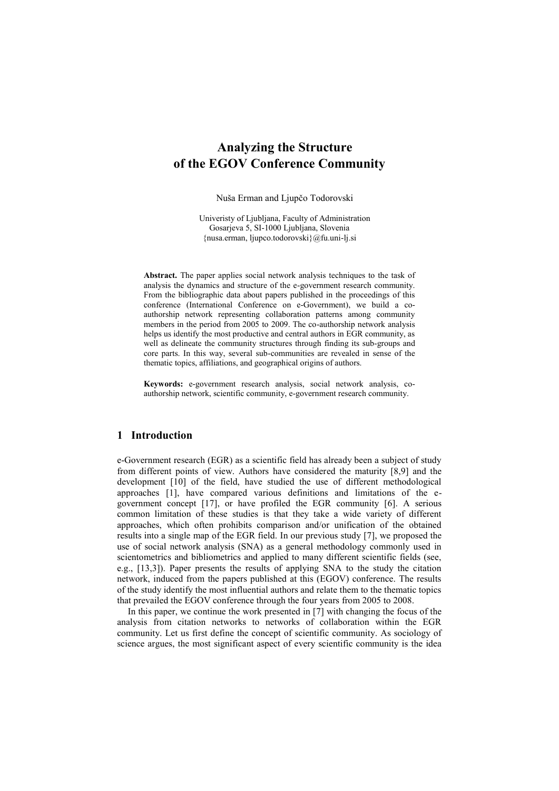# **Analyzing the Structure of the EGOV Conference Community**

Nuša Erman and Ljupčo Todorovski

Univeristy of Ljubljana, Faculty of Administration Gosarjeva 5, SI-1000 Ljubljana, Slovenia {nusa.erman, ljupco.todorovski}@fu.uni-lj.si

**Abstract.** The paper applies social network analysis techniques to the task of analysis the dynamics and structure of the e-government research community. From the bibliographic data about papers published in the proceedings of this conference (International Conference on e-Government), we build a coauthorship network representing collaboration patterns among community members in the period from 2005 to 2009. The co-authorship network analysis helps us identify the most productive and central authors in EGR community, as well as delineate the community structures through finding its sub-groups and core parts. In this way, several sub-communities are revealed in sense of the thematic topics, affiliations, and geographical origins of authors.

**Keywords:** e-government research analysis, social network analysis, coauthorship network, scientific community, e-government research community.

### **1 Introduction**

e-Government research (EGR) as a scientific field has already been a subject of study from different points of view. Authors have considered the maturity [8,9] and the development [10] of the field, have studied the use of different methodological approaches [1], have compared various definitions and limitations of the egovernment concept [17], or have profiled the EGR community [6]. A serious common limitation of these studies is that they take a wide variety of different approaches, which often prohibits comparison and/or unification of the obtained results into a single map of the EGR field. In our previous study [7], we proposed the use of social network analysis (SNA) as a general methodology commonly used in scientometrics and bibliometrics and applied to many different scientific fields (see, e.g., [13,3]). Paper presents the results of applying SNA to the study the citation network, induced from the papers published at this (EGOV) conference. The results of the study identify the most influential authors and relate them to the thematic topics that prevailed the EGOV conference through the four years from 2005 to 2008.

In this paper, we continue the work presented in [7] with changing the focus of the analysis from citation networks to networks of collaboration within the EGR community. Let us first define the concept of scientific community. As sociology of science argues, the most significant aspect of every scientific community is the idea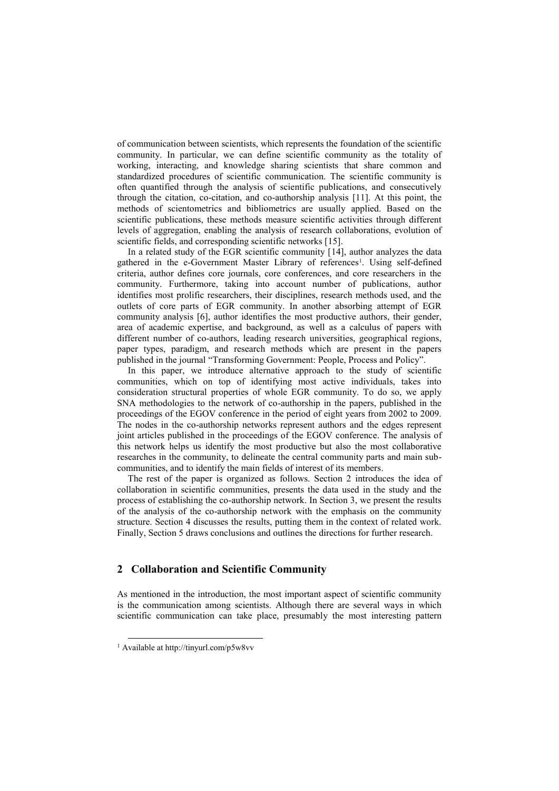of communication between scientists, which represents the foundation of the scientific community. In particular, we can define scientific community as the totality of working, interacting, and knowledge sharing scientists that share common and standardized procedures of scientific communication. The scientific community is often quantified through the analysis of scientific publications, and consecutively through the citation, co-citation, and co-authorship analysis [11]. At this point, the methods of scientometrics and bibliometrics are usually applied. Based on the scientific publications, these methods measure scientific activities through different levels of aggregation, enabling the analysis of research collaborations, evolution of scientific fields, and corresponding scientific networks [15].

In a related study of the EGR scientific community [14], author analyzes the data gathered in the e-Government Master Library of references<sup>1</sup>. Using self-defined criteria, author defines core journals, core conferences, and core researchers in the community. Furthermore, taking into account number of publications, author identifies most prolific researchers, their disciplines, research methods used, and the outlets of core parts of EGR community. In another absorbing attempt of EGR community analysis [6], author identifies the most productive authors, their gender, area of academic expertise, and background, as well as a calculus of papers with different number of co-authors, leading research universities, geographical regions, paper types, paradigm, and research methods which are present in the papers published in the journal "Transforming Government: People, Process and Policy".

In this paper, we introduce alternative approach to the study of scientific communities, which on top of identifying most active individuals, takes into consideration structural properties of whole EGR community. To do so, we apply SNA methodologies to the network of co-authorship in the papers, published in the proceedings of the EGOV conference in the period of eight years from 2002 to 2009. The nodes in the co-authorship networks represent authors and the edges represent joint articles published in the proceedings of the EGOV conference. The analysis of this network helps us identify the most productive but also the most collaborative researches in the community, to delineate the central community parts and main subcommunities, and to identify the main fields of interest of its members.

The rest of the paper is organized as follows. Section 2 introduces the idea of collaboration in scientific communities, presents the data used in the study and the process of establishing the co-authorship network. In Section 3, we present the results of the analysis of the co-authorship network with the emphasis on the community structure. Section 4 discusses the results, putting them in the context of related work. Finally, Section 5 draws conclusions and outlines the directions for further research.

## **2 Collaboration and Scientific Community**

As mentioned in the introduction, the most important aspect of scientific community is the communication among scientists. Although there are several ways in which scientific communication can take place, presumably the most interesting pattern

1

<sup>1</sup> Available at http://tinyurl.com/p5w8vv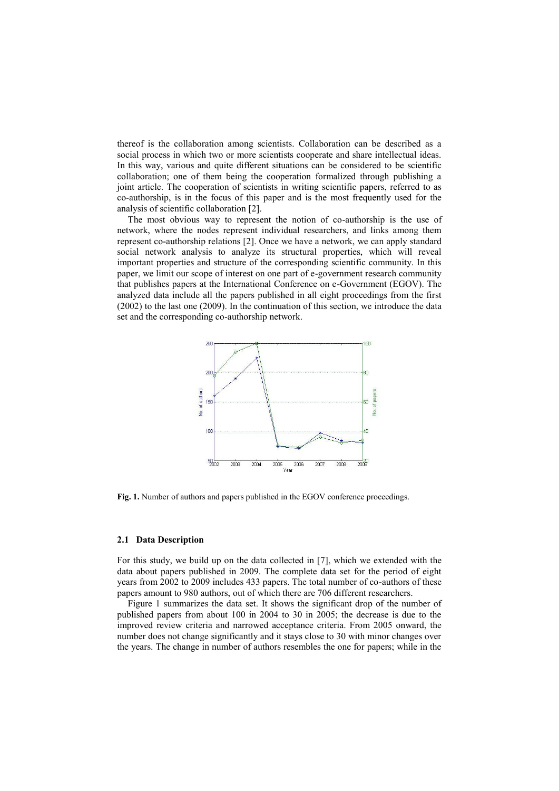thereof is the collaboration among scientists. Collaboration can be described as a social process in which two or more scientists cooperate and share intellectual ideas. In this way, various and quite different situations can be considered to be scientific collaboration; one of them being the cooperation formalized through publishing a joint article. The cooperation of scientists in writing scientific papers, referred to as co-authorship, is in the focus of this paper and is the most frequently used for the analysis of scientific collaboration [2].

The most obvious way to represent the notion of co-authorship is the use of network, where the nodes represent individual researchers, and links among them represent co-authorship relations [2]. Once we have a network, we can apply standard social network analysis to analyze its structural properties, which will reveal important properties and structure of the corresponding scientific community. In this paper, we limit our scope of interest on one part of e-government research community that publishes papers at the International Conference on e-Government (EGOV). The analyzed data include all the papers published in all eight proceedings from the first (2002) to the last one (2009). In the continuation of this section, we introduce the data set and the corresponding co-authorship network.



**Fig. 1.** Number of authors and papers published in the EGOV conference proceedings.

#### **2.1 Data Description**

For this study, we build up on the data collected in [7], which we extended with the data about papers published in 2009. The complete data set for the period of eight years from 2002 to 2009 includes 433 papers. The total number of co-authors of these papers amount to 980 authors, out of which there are 706 different researchers.

Figure 1 summarizes the data set. It shows the significant drop of the number of published papers from about 100 in 2004 to 30 in 2005; the decrease is due to the improved review criteria and narrowed acceptance criteria. From 2005 onward, the number does not change significantly and it stays close to 30 with minor changes over the years. The change in number of authors resembles the one for papers; while in the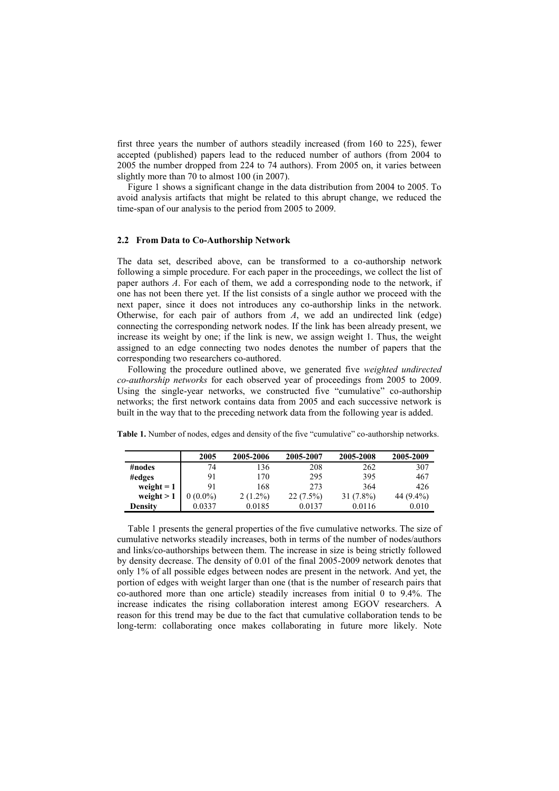first three years the number of authors steadily increased (from 160 to 225), fewer accepted (published) papers lead to the reduced number of authors (from 2004 to 2005 the number dropped from 224 to 74 authors). From 2005 on, it varies between slightly more than 70 to almost 100 (in 2007).

Figure 1 shows a significant change in the data distribution from 2004 to 2005. To avoid analysis artifacts that might be related to this abrupt change, we reduced the time-span of our analysis to the period from 2005 to 2009.

### **2.2 From Data to Co-Authorship Network**

The data set, described above, can be transformed to a co-authorship network following a simple procedure. For each paper in the proceedings, we collect the list of paper authors *A*. For each of them, we add a corresponding node to the network, if one has not been there yet. If the list consists of a single author we proceed with the next paper, since it does not introduces any co-authorship links in the network. Otherwise, for each pair of authors from *A*, we add an undirected link (edge) connecting the corresponding network nodes. If the link has been already present, we increase its weight by one; if the link is new, we assign weight 1. Thus, the weight assigned to an edge connecting two nodes denotes the number of papers that the corresponding two researchers co-authored.

Following the procedure outlined above, we generated five *weighted undirected co-authorship networks* for each observed year of proceedings from 2005 to 2009. Using the single-year networks, we constructed five "cumulative" co-authorship networks; the first network contains data from 2005 and each successive network is built in the way that to the preceding network data from the following year is added.

|                | 2005       | 2005-2006  | 2005-2007   | 2005-2008   | 2005-2009 |
|----------------|------------|------------|-------------|-------------|-----------|
| #nodes         | 74         | 136        | 208         | 262         | 307       |
| #edges         |            | 170        | 295         | 395         | 467       |
| weight $= 1$   |            | 168        | 273         | 364         | 426       |
| weight $> 1$   | $0(0.0\%)$ | $2(1.2\%)$ | $22(7.5\%)$ | $31(7.8\%)$ | 44 (9.4%) |
| <b>Density</b> | 0.0337     | 0.0185     | 0.0137      | 0.0116      | 0.010     |

**Table 1.** Number of nodes, edges and density of the five "cumulative" co-authorship networks.

Table 1 presents the general properties of the five cumulative networks. The size of cumulative networks steadily increases, both in terms of the number of nodes/authors and links/co-authorships between them. The increase in size is being strictly followed by density decrease. The density of 0.01 of the final 2005-2009 network denotes that only 1% of all possible edges between nodes are present in the network. And yet, the portion of edges with weight larger than one (that is the number of research pairs that co-authored more than one article) steadily increases from initial 0 to 9.4%. The increase indicates the rising collaboration interest among EGOV researchers. A reason for this trend may be due to the fact that cumulative collaboration tends to be long-term: collaborating once makes collaborating in future more likely. Note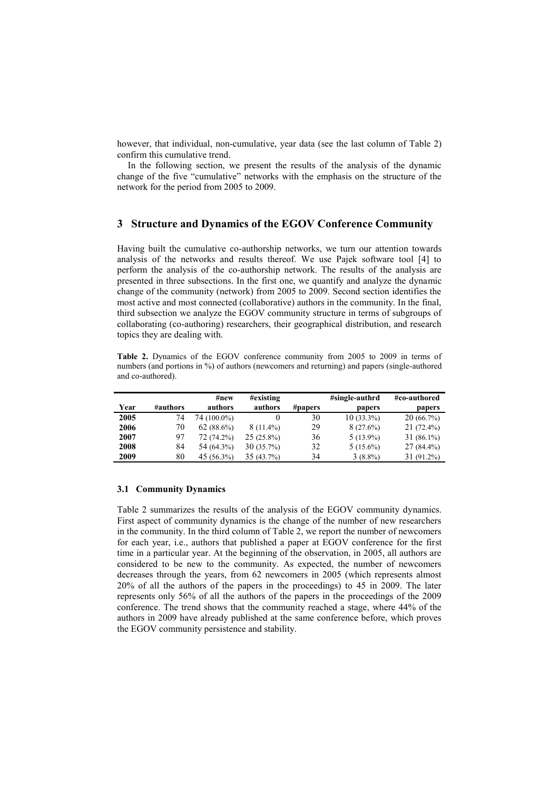however, that individual, non-cumulative, year data (see the last column of Table 2) confirm this cumulative trend.

In the following section, we present the results of the analysis of the dynamic change of the five "cumulative" networks with the emphasis on the structure of the network for the period from 2005 to 2009.

# **3 Structure and Dynamics of the EGOV Conference Community**

Having built the cumulative co-authorship networks, we turn our attention towards analysis of the networks and results thereof. We use Pajek software tool [4] to perform the analysis of the co-authorship network. The results of the analysis are presented in three subsections. In the first one, we quantify and analyze the dynamic change of the community (network) from 2005 to 2009. Second section identifies the most active and most connected (collaborative) authors in the community. In the final, third subsection we analyze the EGOV community structure in terms of subgroups of collaborating (co-authoring) researchers, their geographical distribution, and research topics they are dealing with.

**Table 2.** Dynamics of the EGOV conference community from 2005 to 2009 in terms of numbers (and portions in %) of authors (newcomers and returning) and papers (single-authored and co-authored).

|      |          | #new        | #existing    |                     | #single-authrd | #co-authored |
|------|----------|-------------|--------------|---------------------|----------------|--------------|
| Year | #authors | authors     | authors      | # <sub>papers</sub> | papers         | papers       |
| 2005 | 74       | 74 (100.0%) |              | 30                  | $10(33.3\%)$   | 20(66.7%)    |
| 2006 | 70       | 62(88.6%)   | $8(11.4\%)$  | 29                  | 8(27.6%)       | $21(72.4\%)$ |
| 2007 | 97       | 72 (74.2%)  | $25(25.8\%)$ | 36                  | $5(13.9\%)$    | $31(86.1\%)$ |
| 2008 | 84       | 54 (64.3%)  | 30(35.7%)    | 32                  | $5(15.6\%)$    | $27(84.4\%)$ |
| 2009 | 80       | 45(56.3%)   | 35(43.7%)    | 34                  | $3(8.8\%)$     | 31 (91.2%)   |

#### **3.1 Community Dynamics**

Table 2 summarizes the results of the analysis of the EGOV community dynamics. First aspect of community dynamics is the change of the number of new researchers in the community. In the third column of Table 2, we report the number of newcomers for each year, i.e., authors that published a paper at EGOV conference for the first time in a particular year. At the beginning of the observation, in 2005, all authors are considered to be new to the community. As expected, the number of newcomers decreases through the years, from 62 newcomers in 2005 (which represents almost 20% of all the authors of the papers in the proceedings) to 45 in 2009. The later represents only 56% of all the authors of the papers in the proceedings of the 2009 conference. The trend shows that the community reached a stage, where 44% of the authors in 2009 have already published at the same conference before, which proves the EGOV community persistence and stability.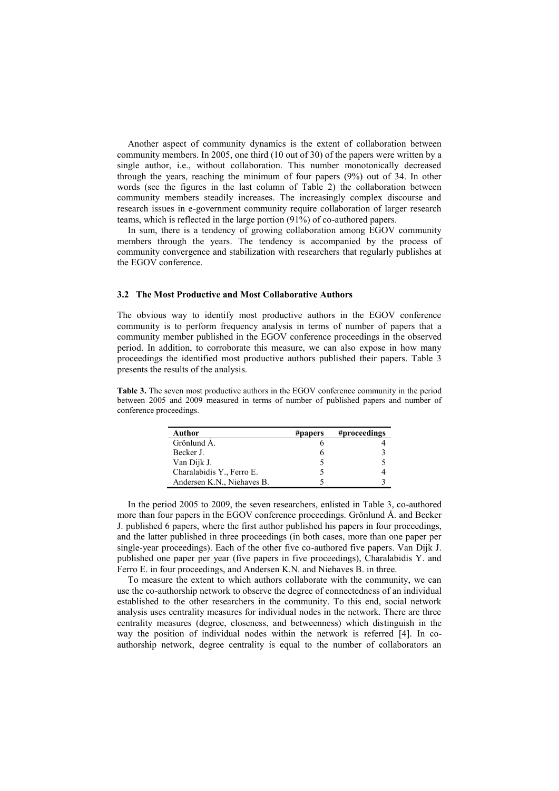Another aspect of community dynamics is the extent of collaboration between community members. In 2005, one third (10 out of 30) of the papers were written by a single author, i.e., without collaboration. This number monotonically decreased through the years, reaching the minimum of four papers (9%) out of 34. In other words (see the figures in the last column of Table 2) the collaboration between community members steadily increases. The increasingly complex discourse and research issues in e-government community require collaboration of larger research teams, which is reflected in the large portion (91%) of co-authored papers.

In sum, there is a tendency of growing collaboration among EGOV community members through the years. The tendency is accompanied by the process of community convergence and stabilization with researchers that regularly publishes at the EGOV conference.

#### **3.2 The Most Productive and Most Collaborative Authors**

The obvious way to identify most productive authors in the EGOV conference community is to perform frequency analysis in terms of number of papers that a community member published in the EGOV conference proceedings in the observed period. In addition, to corroborate this measure, we can also expose in how many proceedings the identified most productive authors published their papers. Table 3 presents the results of the analysis.

**Table 3.** The seven most productive authors in the EGOV conference community in the period between 2005 and 2009 measured in terms of number of published papers and number of conference proceedings.

| Author                     | $#p$ apers | #proceedings |
|----------------------------|------------|--------------|
| Grönlund Å.                |            |              |
| Becker J.                  |            |              |
| Van Dijk J.                |            |              |
| Charalabidis Y., Ferro E.  |            |              |
| Andersen K.N., Niehaves B. |            |              |

In the period 2005 to 2009, the seven researchers, enlisted in Table 3, co-authored more than four papers in the EGOV conference proceedings. Grönlund Å. and Becker J. published 6 papers, where the first author published his papers in four proceedings, and the latter published in three proceedings (in both cases, more than one paper per single-year proceedings). Each of the other five co-authored five papers. Van Dijk J. published one paper per year (five papers in five proceedings), Charalabidis Y. and Ferro E. in four proceedings, and Andersen K.N. and Niehaves B. in three.

To measure the extent to which authors collaborate with the community, we can use the co-authorship network to observe the degree of connectedness of an individual established to the other researchers in the community. To this end, social network analysis uses centrality measures for individual nodes in the network. There are three centrality measures (degree, closeness, and betweenness) which distinguish in the way the position of individual nodes within the network is referred [4]. In coauthorship network, degree centrality is equal to the number of collaborators an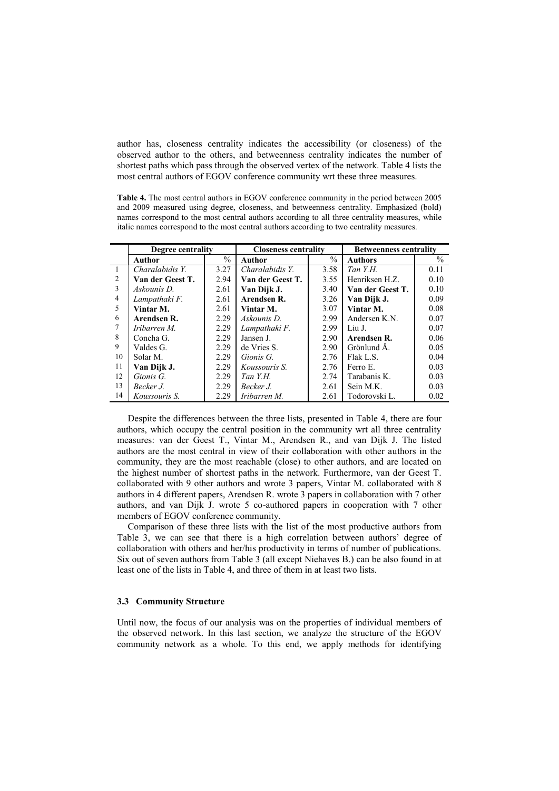author has, closeness centrality indicates the accessibility (or closeness) of the observed author to the others, and betweenness centrality indicates the number of shortest paths which pass through the observed vertex of the network. Table 4 lists the most central authors of EGOV conference community wrt these three measures.

**Table 4.** The most central authors in EGOV conference community in the period between 2005 and 2009 measured using degree, closeness, and betweenness centrality. Emphasized (bold) names correspond to the most central authors according to all three centrality measures, while italic names correspond to the most central authors according to two centrality measures.

|              | Degree centrality    |               | <b>Closeness centrality</b> |               | <b>Betweenness centrality</b> |               |
|--------------|----------------------|---------------|-----------------------------|---------------|-------------------------------|---------------|
|              | <b>Author</b>        | $\frac{0}{0}$ | Author                      | $\frac{0}{0}$ | <b>Authors</b>                | $\frac{0}{0}$ |
| $\mathbf{1}$ | Charalabidis Y.      | 3.27          | Charalabidis Y.             | 3.58          | Tan Y.H.                      | 0.11          |
| 2            | Van der Geest T.     | 2.94          | Van der Geest T.            | 3.55          | Henriksen H.Z.                | 0.10          |
| 3            | Askounis D.          | 2.61          | Van Dijk J.                 | 3.40          | Van der Geest T.              | 0.10          |
| 4            | Lampathaki F.        | 2.61          | Arendsen R.                 | 3.26          | Van Dijk J.                   | 0.09          |
| 5            | Vintar M.            | 2.61          | Vintar M.                   | 3.07          | Vintar M.                     | 0.08          |
| 6            | Arendsen R.          | 2.29          | Askounis D.                 | 2.99          | Andersen K.N.                 | 0.07          |
|              | Iribarren M.         | 2.29          | Lampathaki F.               | 2.99          | Liu J.                        | 0.07          |
| 8            | Concha G.            | 2.29          | Jansen J.                   | 2.90          | Arendsen R.                   | 0.06          |
| 9            | Valdes G.            | 2.29          | de Vries S.                 | 2.90          | Grönlund Å.                   | 0.05          |
| 10           | Solar M.             | 2.29          | Gionis G.                   | 2.76          | Flak L.S.                     | 0.04          |
| 11           | Van Dijk J.          | 2.29          | Koussouris S.               | 2.76          | Ferro E.                      | 0.03          |
| 12           | Gionis G.            | 2.29          | Tan Y.H.                    | 2.74          | Tarabanis K.                  | 0.03          |
| 13           | Becker J.            | 2.29          | Becker J.                   | 2.61          | Sein M.K.                     | 0.03          |
| 14           | <i>Koussouris S.</i> | 2.29          | Iribarren M.                | 2.61          | Todorovski L.                 | 0.02          |

Despite the differences between the three lists, presented in Table 4, there are four authors, which occupy the central position in the community wrt all three centrality measures: van der Geest T., Vintar M., Arendsen R., and van Dijk J. The listed authors are the most central in view of their collaboration with other authors in the community, they are the most reachable (close) to other authors, and are located on the highest number of shortest paths in the network. Furthermore, van der Geest T. collaborated with 9 other authors and wrote 3 papers, Vintar M. collaborated with 8 authors in 4 different papers, Arendsen R. wrote 3 papers in collaboration with 7 other authors, and van Dijk J. wrote 5 co-authored papers in cooperation with 7 other members of EGOV conference community.

Comparison of these three lists with the list of the most productive authors from Table 3, we can see that there is a high correlation between authors' degree of collaboration with others and her/his productivity in terms of number of publications. Six out of seven authors from Table 3 (all except Niehaves B.) can be also found in at least one of the lists in Table 4, and three of them in at least two lists.

#### **3.3 Community Structure**

Until now, the focus of our analysis was on the properties of individual members of the observed network. In this last section, we analyze the structure of the EGOV community network as a whole. To this end, we apply methods for identifying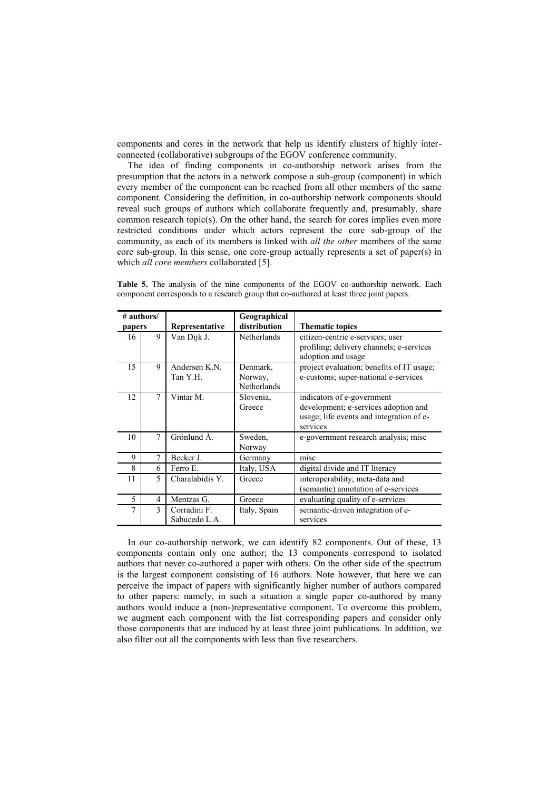components and cores in the network that help us identify clusters of highly interconnected (collaborative) subgroups of the EGOV conference community.

The idea of finding components in co-authorship network arises from the presumption that the actors in a network compose a sub-group (component) in which every member of the component can be reached from all other members of the same component. Considering the definition, in co-authorship network components should reveal such groups of authors which collaborate frequently and, presumably, share common research topic(s). On the other hand, the search for cores implies even more restricted conditions under which actors represent the core sub-group of the community, as each of its members is linked with *all the other* members of the same core sub-group. In this sense, one core-group actually represents a set of paper(s) in which *all core members* collaborated [5].

**Table 5.** The analysis of the nine components of the EGOV co-authorship network. Each component corresponds to a research group that co-authored at least three joint papers.

| # authors/ |                |                               | Geographical                       |                                                                                                                            |
|------------|----------------|-------------------------------|------------------------------------|----------------------------------------------------------------------------------------------------------------------------|
| papers     |                | Representative                | distribution                       | <b>Thematic topics</b>                                                                                                     |
| 16         | 9              | Van Dijk J.                   | Netherlands                        | citizen-centric e-services; user<br>profiling; delivery channels; e-services<br>adoption and usage                         |
| 15         | 9              | Andersen K.N.<br>Tan Y.H.     | Denmark,<br>Norway,<br>Netherlands | project evaluation; benefits of IT usage;<br>e-customs; super-national e-services                                          |
| 12         | 7              | Vintar M.                     | Slovenia,<br>Greece                | indicators of e-government<br>development; e-services adoption and<br>usage; life events and integration of e-<br>services |
| 10         | 7              | Grönlund Å.                   | Sweden.<br>Norway                  | e-government research analysis; misc                                                                                       |
| 9          | 7              | Becker J.                     | Germany                            | misc                                                                                                                       |
| 8          | 6              | Ferro E.                      | Italy, USA                         | digital divide and IT literacy                                                                                             |
| 11         | 5              | Charalabidis Y.               | Greece                             | interoperability; meta-data and<br>(semantic) annotation of e-services                                                     |
| 5          | $\overline{4}$ | Mentzas G.                    | Greece                             | evaluating quality of e-services                                                                                           |
| 7          | 3              | Corradini F.<br>Sabucedo L.A. | Italy, Spain                       | semantic-driven integration of e-<br>services                                                                              |

In our co-authorship network, we can identify 82 components. Out of these, 13 components contain only one author; the 13 components correspond to isolated authors that never co-authored a paper with others. On the other side of the spectrum is the largest component consisting of 16 authors. Note however, that here we can perceive the impact of papers with significantly higher number of authors compared to other papers: namely, in such a situation a single paper co-authored by many authors would induce a (non-)representative component. To overcome this problem, we augment each component with the list corresponding papers and consider only those components that are induced by at least three joint publications. In addition, we also filter out all the components with less than five researchers.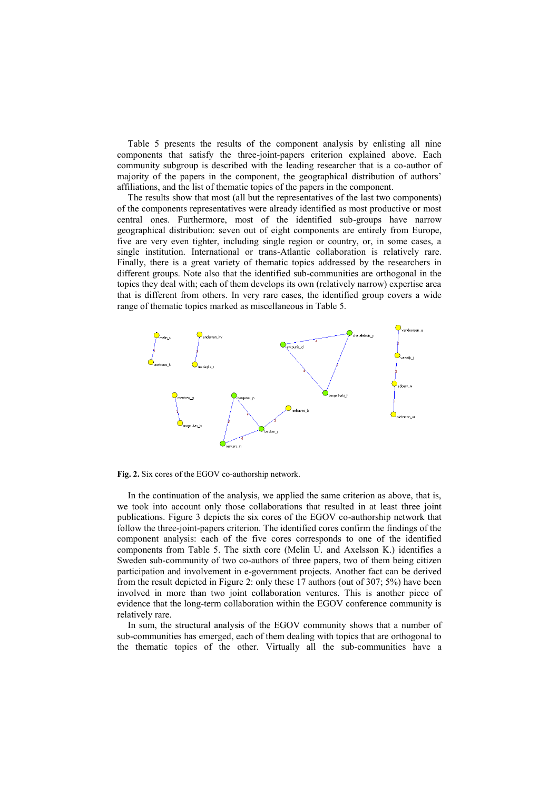Table 5 presents the results of the component analysis by enlisting all nine components that satisfy the three-joint-papers criterion explained above. Each community subgroup is described with the leading researcher that is a co-author of majority of the papers in the component, the geographical distribution of authors' affiliations, and the list of thematic topics of the papers in the component.

The results show that most (all but the representatives of the last two components) of the components representatives were already identified as most productive or most central ones. Furthermore, most of the identified sub-groups have narrow geographical distribution: seven out of eight components are entirely from Europe, five are very even tighter, including single region or country, or, in some cases, a single institution. International or trans-Atlantic collaboration is relatively rare. Finally, there is a great variety of thematic topics addressed by the researchers in different groups. Note also that the identified sub-communities are orthogonal in the topics they deal with; each of them develops its own (relatively narrow) expertise area that is different from others. In very rare cases, the identified group covers a wide range of thematic topics marked as miscellaneous in Table 5.



**Fig. 2.** Six cores of the EGOV co-authorship network.

In the continuation of the analysis, we applied the same criterion as above, that is, we took into account only those collaborations that resulted in at least three joint publications. Figure 3 depicts the six cores of the EGOV co-authorship network that follow the three-joint-papers criterion. The identified cores confirm the findings of the component analysis: each of the five cores corresponds to one of the identified components from Table 5. The sixth core (Melin U. and Axelsson K.) identifies a Sweden sub-community of two co-authors of three papers, two of them being citizen participation and involvement in e-government projects. Another fact can be derived from the result depicted in Figure 2: only these 17 authors (out of 307; 5%) have been involved in more than two joint collaboration ventures. This is another piece of evidence that the long-term collaboration within the EGOV conference community is relatively rare.

In sum, the structural analysis of the EGOV community shows that a number of sub-communities has emerged, each of them dealing with topics that are orthogonal to the thematic topics of the other. Virtually all the sub-communities have a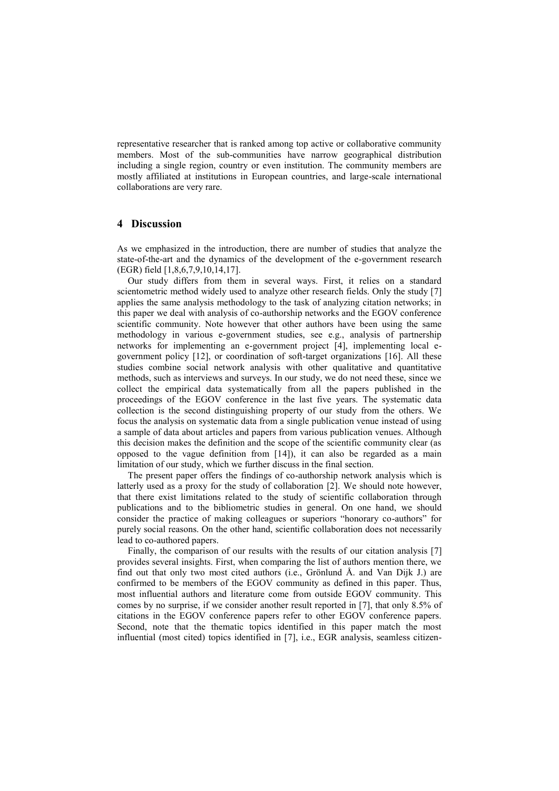representative researcher that is ranked among top active or collaborative community members. Most of the sub-communities have narrow geographical distribution including a single region, country or even institution. The community members are mostly affiliated at institutions in European countries, and large-scale international collaborations are very rare.

#### **4 Discussion**

As we emphasized in the introduction, there are number of studies that analyze the state-of-the-art and the dynamics of the development of the e-government research (EGR) field [1,8,6,7,9,10,14,17].

Our study differs from them in several ways. First, it relies on a standard scientometric method widely used to analyze other research fields. Only the study [7] applies the same analysis methodology to the task of analyzing citation networks; in this paper we deal with analysis of co-authorship networks and the EGOV conference scientific community. Note however that other authors have been using the same methodology in various e-government studies, see e.g., analysis of partnership networks for implementing an e-government project [4], implementing local egovernment policy [12], or coordination of soft-target organizations [16]. All these studies combine social network analysis with other qualitative and quantitative methods, such as interviews and surveys. In our study, we do not need these, since we collect the empirical data systematically from all the papers published in the proceedings of the EGOV conference in the last five years. The systematic data collection is the second distinguishing property of our study from the others. We focus the analysis on systematic data from a single publication venue instead of using a sample of data about articles and papers from various publication venues. Although this decision makes the definition and the scope of the scientific community clear (as opposed to the vague definition from [14]), it can also be regarded as a main limitation of our study, which we further discuss in the final section.

The present paper offers the findings of co-authorship network analysis which is latterly used as a proxy for the study of collaboration [2]. We should note however, that there exist limitations related to the study of scientific collaboration through publications and to the bibliometric studies in general. On one hand, we should consider the practice of making colleagues or superiors "honorary co-authors" for purely social reasons. On the other hand, scientific collaboration does not necessarily lead to co-authored papers.

Finally, the comparison of our results with the results of our citation analysis [7] provides several insights. First, when comparing the list of authors mention there, we find out that only two most cited authors (i.e., Grönlund Å. and Van Dijk J.) are confirmed to be members of the EGOV community as defined in this paper. Thus, most influential authors and literature come from outside EGOV community. This comes by no surprise, if we consider another result reported in [7], that only 8.5% of citations in the EGOV conference papers refer to other EGOV conference papers. Second, note that the thematic topics identified in this paper match the most influential (most cited) topics identified in [7], i.e., EGR analysis, seamless citizen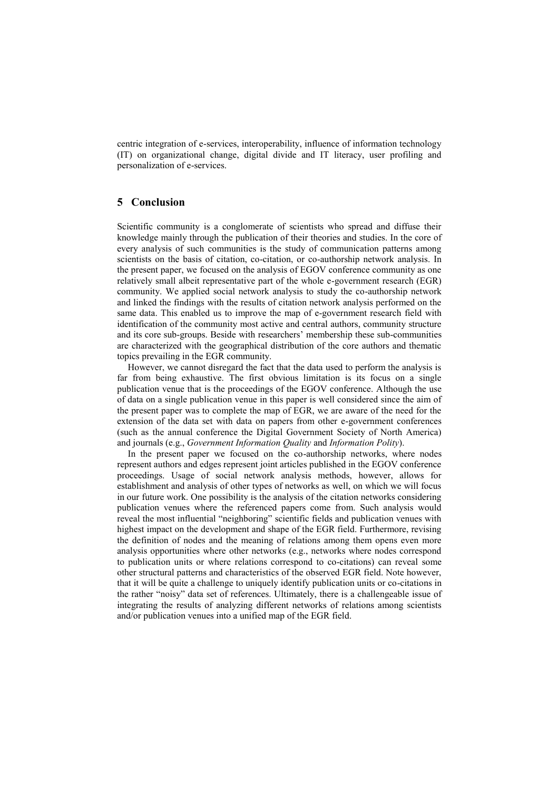centric integration of e-services, interoperability, influence of information technology (IT) on organizational change, digital divide and IT literacy, user profiling and personalization of e-services.

# **5 Conclusion**

Scientific community is a conglomerate of scientists who spread and diffuse their knowledge mainly through the publication of their theories and studies. In the core of every analysis of such communities is the study of communication patterns among scientists on the basis of citation, co-citation, or co-authorship network analysis. In the present paper, we focused on the analysis of EGOV conference community as one relatively small albeit representative part of the whole e-government research (EGR) community. We applied social network analysis to study the co-authorship network and linked the findings with the results of citation network analysis performed on the same data. This enabled us to improve the map of e-government research field with identification of the community most active and central authors, community structure and its core sub-groups. Beside with researchers' membership these sub-communities are characterized with the geographical distribution of the core authors and thematic topics prevailing in the EGR community.

However, we cannot disregard the fact that the data used to perform the analysis is far from being exhaustive. The first obvious limitation is its focus on a single publication venue that is the proceedings of the EGOV conference. Although the use of data on a single publication venue in this paper is well considered since the aim of the present paper was to complete the map of EGR, we are aware of the need for the extension of the data set with data on papers from other e-government conferences (such as the annual conference the Digital Government Society of North America) and journals (e.g., *Government Information Quality* and *Information Polity*).

In the present paper we focused on the co-authorship networks, where nodes represent authors and edges represent joint articles published in the EGOV conference proceedings. Usage of social network analysis methods, however, allows for establishment and analysis of other types of networks as well, on which we will focus in our future work. One possibility is the analysis of the citation networks considering publication venues where the referenced papers come from. Such analysis would reveal the most influential "neighboring" scientific fields and publication venues with highest impact on the development and shape of the EGR field. Furthermore, revising the definition of nodes and the meaning of relations among them opens even more analysis opportunities where other networks (e.g., networks where nodes correspond to publication units or where relations correspond to co-citations) can reveal some other structural patterns and characteristics of the observed EGR field. Note however, that it will be quite a challenge to uniquely identify publication units or co-citations in the rather "noisy" data set of references. Ultimately, there is a challengeable issue of integrating the results of analyzing different networks of relations among scientists and/or publication venues into a unified map of the EGR field.